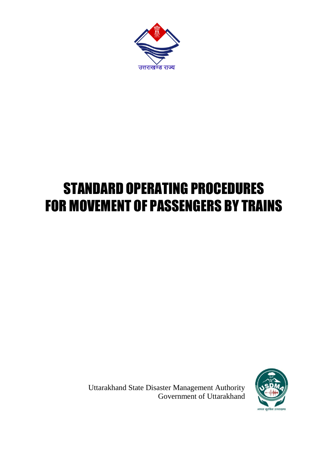

## STANDARD OPERATING PROCEDURES FOR MOVEMENT OF PASSENGERS BY TRAINS

Uttarakhand State Disaster Management Authority Government of Uttarakhand

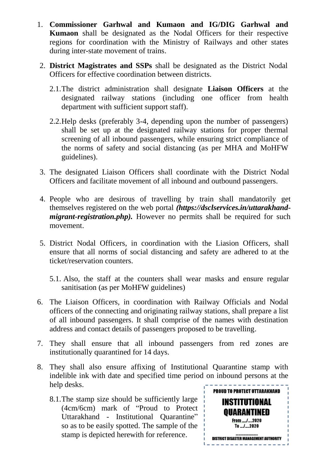- 1. **Commissioner Garhwal and Kumaon and IG/DIG Garhwal and Kumaon** shall be designated as the Nodal Officers for their respective regions for coordination with the Ministry of Railways and other states during inter-state movement of trains.
- 2. **District Magistrates and SSPs** shall be designated as the District Nodal Officers for effective coordination between districts.
	- 2.1.The district administration shall designate **Liaison Officers** at the designated railway stations (including one officer from health department with sufficient support staff).
	- 2.2.Help desks (preferably 3-4, depending upon the number of passengers) shall be set up at the designated railway stations for proper thermal screening of all inbound passengers, while ensuring strict compliance of the norms of safety and social distancing (as per MHA and MoHFW guidelines).
- 3. The designated Liaison Officers shall coordinate with the District Nodal Officers and facilitate movement of all inbound and outbound passengers.
- 4. People who are desirous of travelling by train shall mandatorily get themselves registered on the web portal *[\(https://dsclservices.in/uttarakhand](https://dsclservices.in/uttarakhand-migrant-registration.php)migrant-registration.php*). However no permits shall be required for such movement.
- 5. District Nodal Officers, in coordination with the Liasion Officers, shall ensure that all norms of social distancing and safety are adhered to at the ticket/reservation counters.
	- 5.1. Also, the staff at the counters shall wear masks and ensure regular sanitisation (as per MoHFW guidelines)
- 6. The Liaison Officers, in coordination with Railway Officials and Nodal officers of the connecting and originating railway stations, shall prepare a list of all inbound passengers. It shall comprise of the names with destination address and contact details of passengers proposed to be travelling.
- 7. They shall ensure that all inbound passengers from red zones are institutionally quarantined for 14 days.
- 8. They shall also ensure affixing of Institutional Quarantine stamp with indelible ink with date and specified time period on inbound persons at the help desks.
	- 8.1.The stamp size should be sufficiently large (4cm/6cm) mark of "Proud to Protect Uttarakhand - Institutional Quarantine" so as to be easily spotted. The sample of the stamp is depicted herewith for reference.

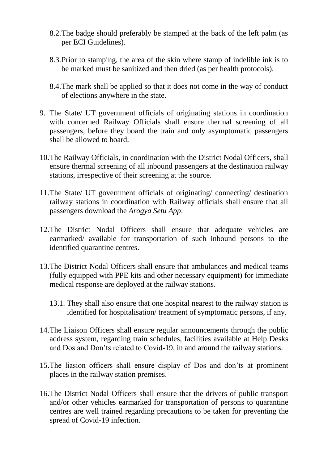- 8.2.The badge should preferably be stamped at the back of the left palm (as per ECI Guidelines).
- 8.3.Prior to stamping, the area of the skin where stamp of indelible ink is to be marked must be sanitized and then dried (as per health protocols).
- 8.4.The mark shall be applied so that it does not come in the way of conduct of elections anywhere in the state.
- 9. The State/ UT government officials of originating stations in coordination with concerned Railway Officials shall ensure thermal screening of all passengers, before they board the train and only asymptomatic passengers shall be allowed to board.
- 10.The Railway Officials, in coordination with the District Nodal Officers, shall ensure thermal screening of all inbound passengers at the destination railway stations, irrespective of their screening at the source.
- 11.The State/ UT government officials of originating/ connecting/ destination railway stations in coordination with Railway officials shall ensure that all passengers download the *Arogya Setu App*.
- 12.The District Nodal Officers shall ensure that adequate vehicles are earmarked/ available for transportation of such inbound persons to the identified quarantine centres.
- 13.The District Nodal Officers shall ensure that ambulances and medical teams (fully equipped with PPE kits and other necessary equipment) for immediate medical response are deployed at the railway stations.
	- 13.1. They shall also ensure that one hospital nearest to the railway station is identified for hospitalisation/ treatment of symptomatic persons, if any.
- 14.The Liaison Officers shall ensure regular announcements through the public address system, regarding train schedules, facilities available at Help Desks and Dos and Don'ts related to Covid-19, in and around the railway stations.
- 15.The liasion officers shall ensure display of Dos and don'ts at prominent places in the railway station premises.
- 16.The District Nodal Officers shall ensure that the drivers of public transport and/or other vehicles earmarked for transportation of persons to quarantine centres are well trained regarding precautions to be taken for preventing the spread of Covid-19 infection.